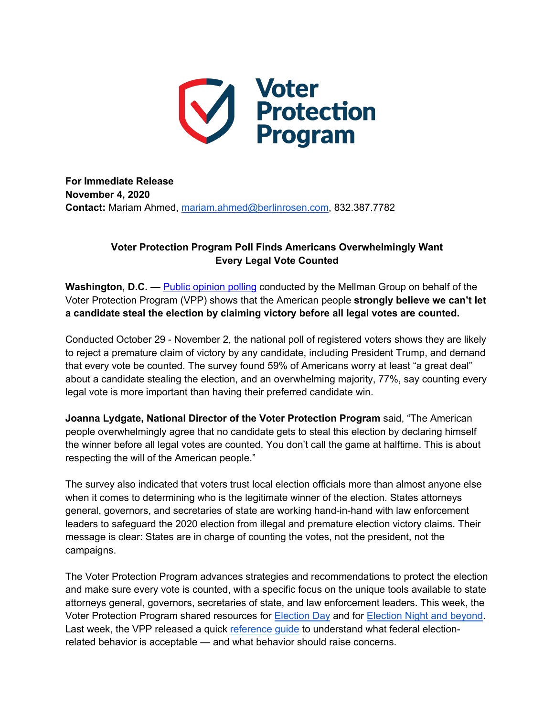

**For Immediate Release November 4, 2020 Contact:** Mariam Ahmed, mariam.ahmed@berlinrosen.com, 832.387.7782

## **Voter Protection Program Poll Finds Americans Overwhelmingly Want Every Legal Vote Counted**

**Washington, D.C. —** Public opinion polling conducted by the Mellman Group on behalf of the Voter Protection Program (VPP) shows that the American people **strongly believe we can't let a candidate steal the election by claiming victory before all legal votes are counted.** 

Conducted October 29 - November 2, the national poll of registered voters shows they are likely to reject a premature claim of victory by any candidate, including President Trump, and demand that every vote be counted. The survey found 59% of Americans worry at least "a great deal" about a candidate stealing the election, and an overwhelming majority, 77%, say counting every legal vote is more important than having their preferred candidate win.

**Joanna Lydgate, National Director of the Voter Protection Program** said, "The American people overwhelmingly agree that no candidate gets to steal this election by declaring himself the winner before all legal votes are counted. You don't call the game at halftime. This is about respecting the will of the American people."

The survey also indicated that voters trust local election officials more than almost anyone else when it comes to determining who is the legitimate winner of the election. States attorneys general, governors, and secretaries of state are working hand-in-hand with law enforcement leaders to safeguard the 2020 election from illegal and premature election victory claims. Their message is clear: States are in charge of counting the votes, not the president, not the campaigns.

The Voter Protection Program advances strategies and recommendations to protect the election and make sure every vote is counted, with a specific focus on the unique tools available to state attorneys general, governors, secretaries of state, and law enforcement leaders. This week, the Voter Protection Program shared resources for Election Day and for Election Night and beyond. Last week, the VPP released a quick reference guide to understand what federal electionrelated behavior is acceptable — and what behavior should raise concerns.